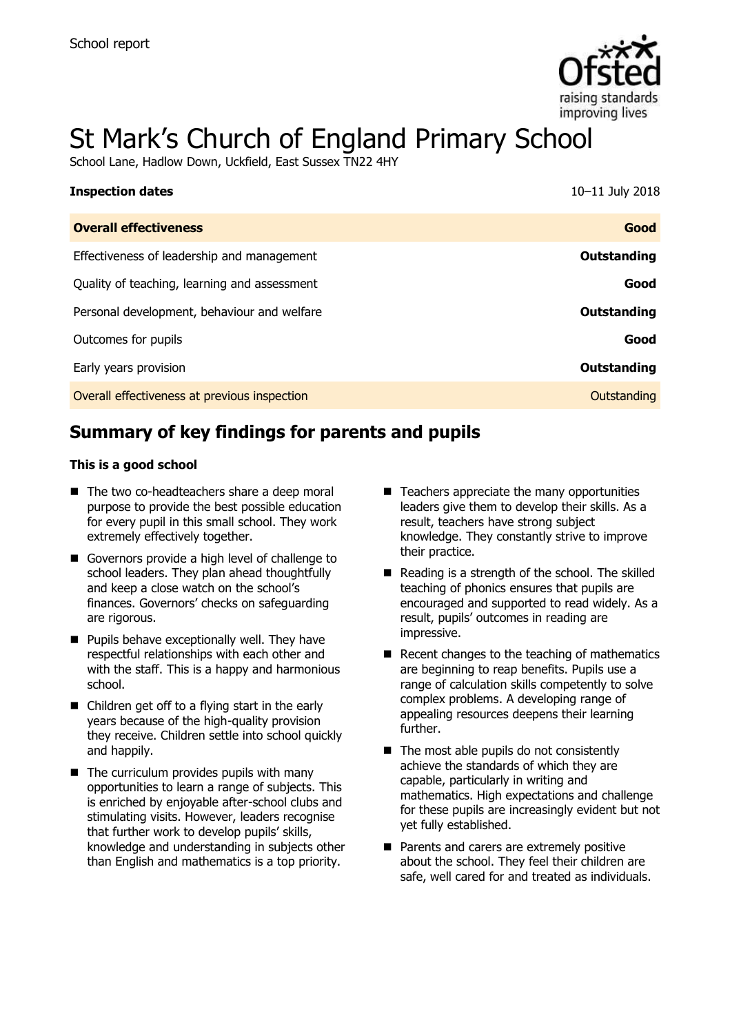

# St Mark's Church of England Primary School

School Lane, Hadlow Down, Uckfield, East Sussex TN22 4HY

| <b>Inspection dates</b>                      | 10-11 July 2018    |
|----------------------------------------------|--------------------|
| <b>Overall effectiveness</b>                 | Good               |
| Effectiveness of leadership and management   | Outstanding        |
| Quality of teaching, learning and assessment | Good               |
| Personal development, behaviour and welfare  | Outstanding        |
| Outcomes for pupils                          | Good               |
| Early years provision                        | <b>Outstanding</b> |
| Overall effectiveness at previous inspection | Outstanding        |

# **Summary of key findings for parents and pupils**

#### **This is a good school**

- The two co-headteachers share a deep moral purpose to provide the best possible education for every pupil in this small school. They work extremely effectively together.
- Governors provide a high level of challenge to school leaders. They plan ahead thoughtfully and keep a close watch on the school's finances. Governors' checks on safeguarding are rigorous.
- **Pupils behave exceptionally well. They have** respectful relationships with each other and with the staff. This is a happy and harmonious school.
- Children get off to a flying start in the early years because of the high-quality provision they receive. Children settle into school quickly and happily.
- $\blacksquare$  The curriculum provides pupils with many opportunities to learn a range of subjects. This is enriched by enjoyable after-school clubs and stimulating visits. However, leaders recognise that further work to develop pupils' skills, knowledge and understanding in subjects other than English and mathematics is a top priority.
- $\blacksquare$  Teachers appreciate the many opportunities leaders give them to develop their skills. As a result, teachers have strong subject knowledge. They constantly strive to improve their practice.
- $\blacksquare$  Reading is a strength of the school. The skilled teaching of phonics ensures that pupils are encouraged and supported to read widely. As a result, pupils' outcomes in reading are impressive.
- $\blacksquare$  Recent changes to the teaching of mathematics are beginning to reap benefits. Pupils use a range of calculation skills competently to solve complex problems. A developing range of appealing resources deepens their learning further.
- $\blacksquare$  The most able pupils do not consistently achieve the standards of which they are capable, particularly in writing and mathematics. High expectations and challenge for these pupils are increasingly evident but not yet fully established.
- **Parents and carers are extremely positive** about the school. They feel their children are safe, well cared for and treated as individuals.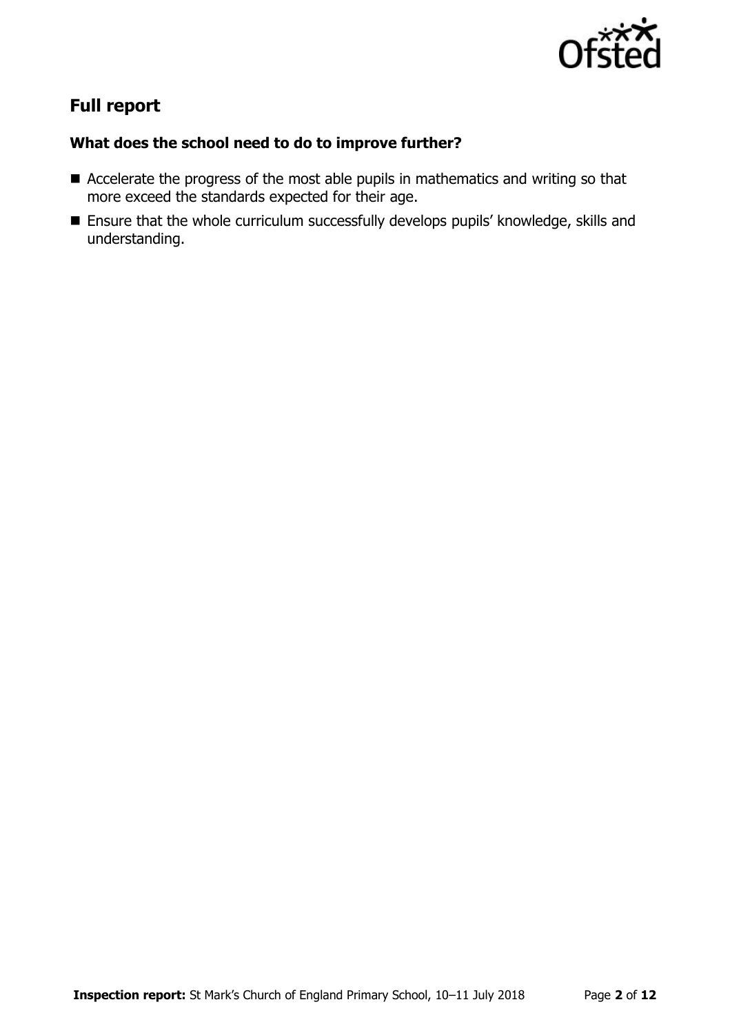

# **Full report**

### **What does the school need to do to improve further?**

- Accelerate the progress of the most able pupils in mathematics and writing so that more exceed the standards expected for their age.
- Ensure that the whole curriculum successfully develops pupils' knowledge, skills and understanding.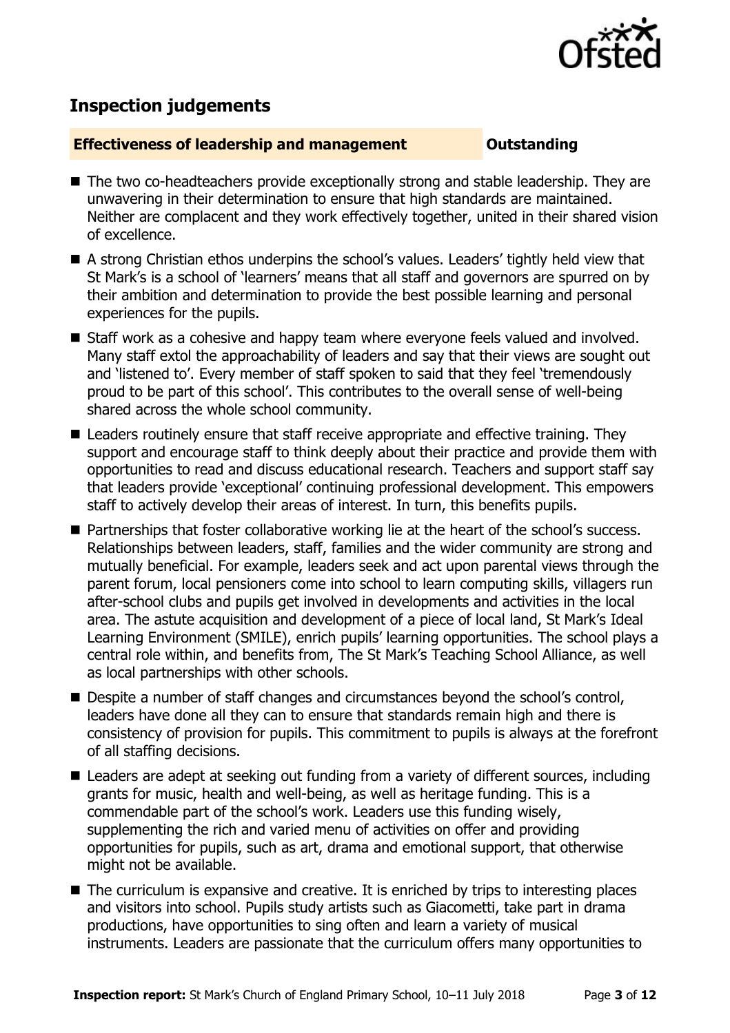

## **Inspection judgements**

#### **Effectiveness of leadership and management Constanding**

- The two co-headteachers provide exceptionally strong and stable leadership. They are unwavering in their determination to ensure that high standards are maintained. Neither are complacent and they work effectively together, united in their shared vision of excellence.
- A strong Christian ethos underpins the school's values. Leaders' tightly held view that St Mark's is a school of 'learners' means that all staff and governors are spurred on by their ambition and determination to provide the best possible learning and personal experiences for the pupils.
- Staff work as a cohesive and happy team where everyone feels valued and involved. Many staff extol the approachability of leaders and say that their views are sought out and 'listened to'. Every member of staff spoken to said that they feel 'tremendously proud to be part of this school'. This contributes to the overall sense of well-being shared across the whole school community.
- Leaders routinely ensure that staff receive appropriate and effective training. They support and encourage staff to think deeply about their practice and provide them with opportunities to read and discuss educational research. Teachers and support staff say that leaders provide 'exceptional' continuing professional development. This empowers staff to actively develop their areas of interest. In turn, this benefits pupils.
- Partnerships that foster collaborative working lie at the heart of the school's success. Relationships between leaders, staff, families and the wider community are strong and mutually beneficial. For example, leaders seek and act upon parental views through the parent forum, local pensioners come into school to learn computing skills, villagers run after-school clubs and pupils get involved in developments and activities in the local area. The astute acquisition and development of a piece of local land, St Mark's Ideal Learning Environment (SMILE), enrich pupils' learning opportunities. The school plays a central role within, and benefits from, The St Mark's Teaching School Alliance, as well as local partnerships with other schools.
- Despite a number of staff changes and circumstances beyond the school's control, leaders have done all they can to ensure that standards remain high and there is consistency of provision for pupils. This commitment to pupils is always at the forefront of all staffing decisions.
- Leaders are adept at seeking out funding from a variety of different sources, including grants for music, health and well-being, as well as heritage funding. This is a commendable part of the school's work. Leaders use this funding wisely, supplementing the rich and varied menu of activities on offer and providing opportunities for pupils, such as art, drama and emotional support, that otherwise might not be available.
- The curriculum is expansive and creative. It is enriched by trips to interesting places and visitors into school. Pupils study artists such as Giacometti, take part in drama productions, have opportunities to sing often and learn a variety of musical instruments. Leaders are passionate that the curriculum offers many opportunities to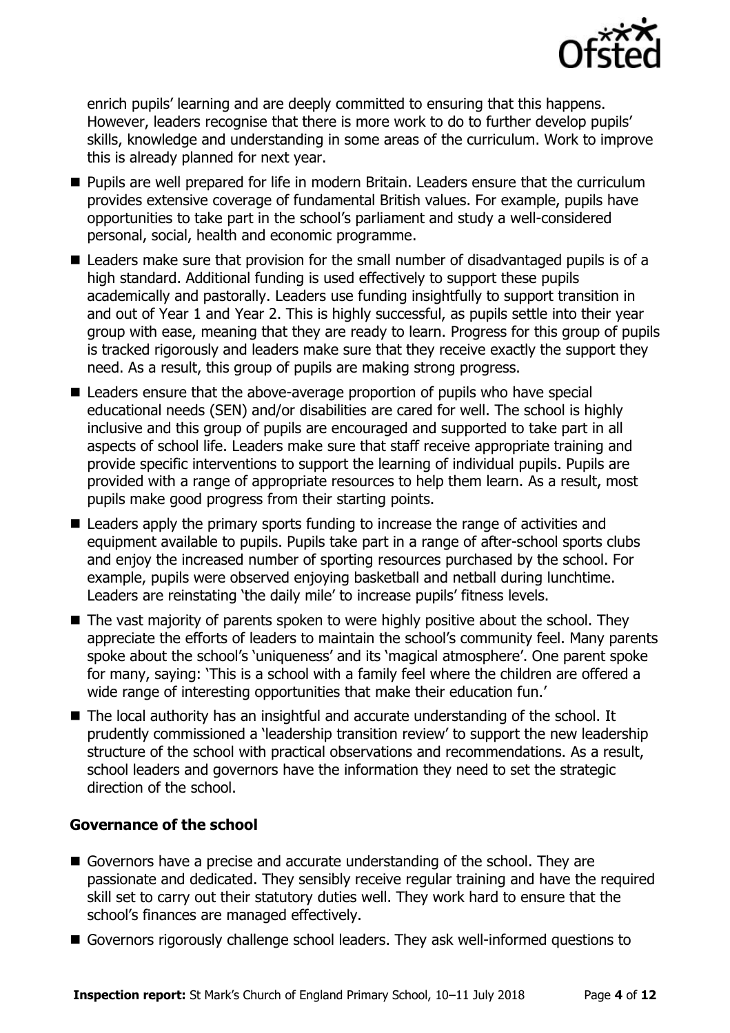

enrich pupils' learning and are deeply committed to ensuring that this happens. However, leaders recognise that there is more work to do to further develop pupils' skills, knowledge and understanding in some areas of the curriculum. Work to improve this is already planned for next year.

- Pupils are well prepared for life in modern Britain. Leaders ensure that the curriculum provides extensive coverage of fundamental British values. For example, pupils have opportunities to take part in the school's parliament and study a well-considered personal, social, health and economic programme.
- Leaders make sure that provision for the small number of disadvantaged pupils is of a high standard. Additional funding is used effectively to support these pupils academically and pastorally. Leaders use funding insightfully to support transition in and out of Year 1 and Year 2. This is highly successful, as pupils settle into their year group with ease, meaning that they are ready to learn. Progress for this group of pupils is tracked rigorously and leaders make sure that they receive exactly the support they need. As a result, this group of pupils are making strong progress.
- Leaders ensure that the above-average proportion of pupils who have special educational needs (SEN) and/or disabilities are cared for well. The school is highly inclusive and this group of pupils are encouraged and supported to take part in all aspects of school life. Leaders make sure that staff receive appropriate training and provide specific interventions to support the learning of individual pupils. Pupils are provided with a range of appropriate resources to help them learn. As a result, most pupils make good progress from their starting points.
- Leaders apply the primary sports funding to increase the range of activities and equipment available to pupils. Pupils take part in a range of after-school sports clubs and enjoy the increased number of sporting resources purchased by the school. For example, pupils were observed enjoying basketball and netball during lunchtime. Leaders are reinstating 'the daily mile' to increase pupils' fitness levels.
- The vast majority of parents spoken to were highly positive about the school. They appreciate the efforts of leaders to maintain the school's community feel. Many parents spoke about the school's 'uniqueness' and its 'magical atmosphere'. One parent spoke for many, saying: 'This is a school with a family feel where the children are offered a wide range of interesting opportunities that make their education fun.'
- The local authority has an insightful and accurate understanding of the school. It prudently commissioned a 'leadership transition review' to support the new leadership structure of the school with practical observations and recommendations. As a result, school leaders and governors have the information they need to set the strategic direction of the school.

### **Governance of the school**

- Governors have a precise and accurate understanding of the school. They are passionate and dedicated. They sensibly receive regular training and have the required skill set to carry out their statutory duties well. They work hard to ensure that the school's finances are managed effectively.
- Governors rigorously challenge school leaders. They ask well-informed questions to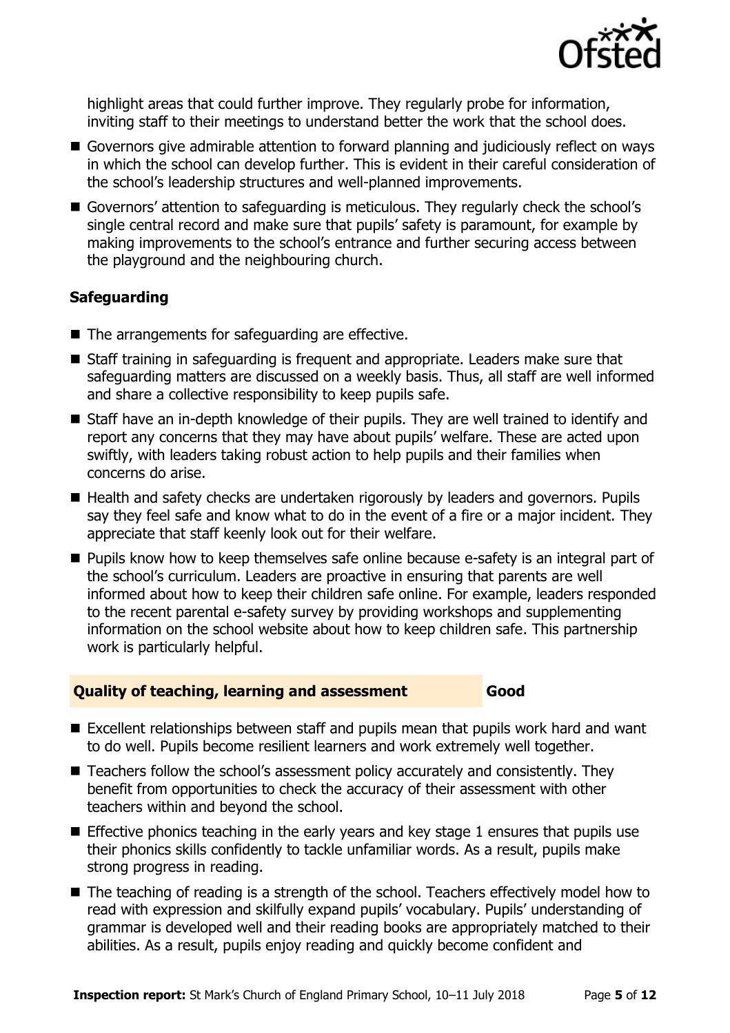

highlight areas that could further improve. They regularly probe for information, inviting staff to their meetings to understand better the work that the school does.

- Governors give admirable attention to forward planning and judiciously reflect on ways in which the school can develop further. This is evident in their careful consideration of the school's leadership structures and well-planned improvements.
- Governors' attention to safeguarding is meticulous. They regularly check the school's single central record and make sure that pupils' safety is paramount, for example by making improvements to the school's entrance and further securing access between the playground and the neighbouring church.

### **Safeguarding**

- The arrangements for safeguarding are effective.
- Staff training in safeguarding is frequent and appropriate. Leaders make sure that safeguarding matters are discussed on a weekly basis. Thus, all staff are well informed and share a collective responsibility to keep pupils safe.
- Staff have an in-depth knowledge of their pupils. They are well trained to identify and report any concerns that they may have about pupils' welfare. These are acted upon swiftly, with leaders taking robust action to help pupils and their families when concerns do arise.
- Health and safety checks are undertaken rigorously by leaders and governors. Pupils say they feel safe and know what to do in the event of a fire or a major incident. They appreciate that staff keenly look out for their welfare.
- **Pupils know how to keep themselves safe online because e-safety is an integral part of** the school's curriculum. Leaders are proactive in ensuring that parents are well informed about how to keep their children safe online. For example, leaders responded to the recent parental e-safety survey by providing workshops and supplementing information on the school website about how to keep children safe. This partnership work is particularly helpful.

### **Quality of teaching, learning and assessment Good**

- Excellent relationships between staff and pupils mean that pupils work hard and want to do well. Pupils become resilient learners and work extremely well together.
- Teachers follow the school's assessment policy accurately and consistently. They benefit from opportunities to check the accuracy of their assessment with other teachers within and beyond the school.
- **Effective phonics teaching in the early years and key stage 1 ensures that pupils use** their phonics skills confidently to tackle unfamiliar words. As a result, pupils make strong progress in reading.
- The teaching of reading is a strength of the school. Teachers effectively model how to read with expression and skilfully expand pupils' vocabulary. Pupils' understanding of grammar is developed well and their reading books are appropriately matched to their abilities. As a result, pupils enjoy reading and quickly become confident and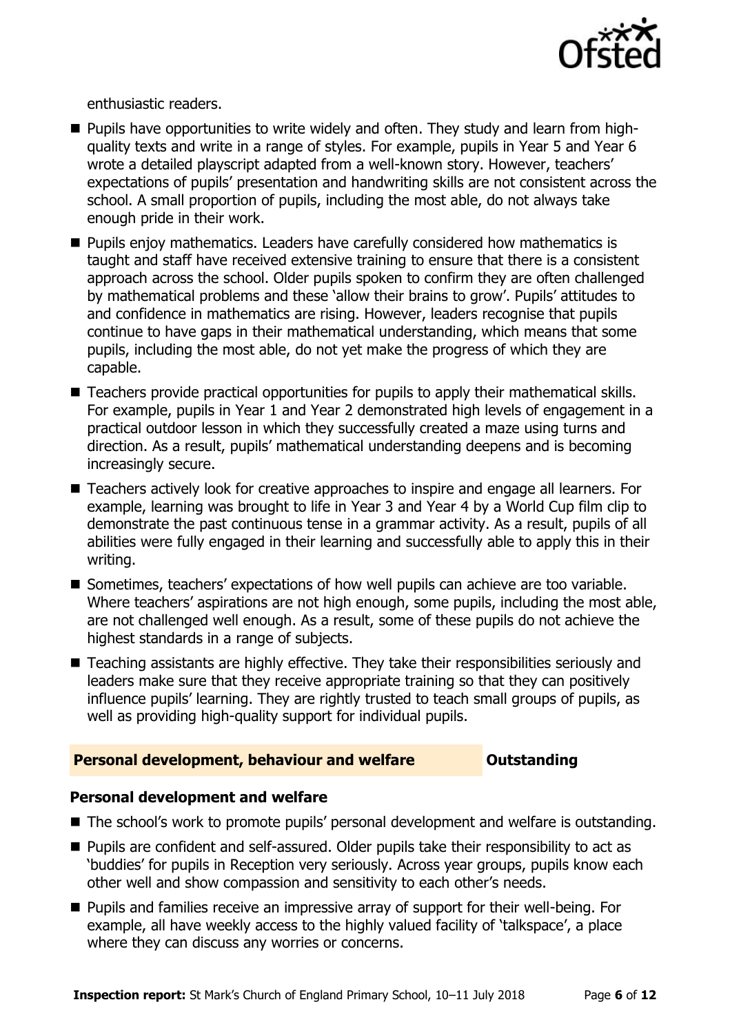

enthusiastic readers.

- **Pupils have opportunities to write widely and often. They study and learn from high**quality texts and write in a range of styles. For example, pupils in Year 5 and Year 6 wrote a detailed playscript adapted from a well-known story. However, teachers' expectations of pupils' presentation and handwriting skills are not consistent across the school. A small proportion of pupils, including the most able, do not always take enough pride in their work.
- **Pupils enjoy mathematics. Leaders have carefully considered how mathematics is** taught and staff have received extensive training to ensure that there is a consistent approach across the school. Older pupils spoken to confirm they are often challenged by mathematical problems and these 'allow their brains to grow'. Pupils' attitudes to and confidence in mathematics are rising. However, leaders recognise that pupils continue to have gaps in their mathematical understanding, which means that some pupils, including the most able, do not yet make the progress of which they are capable.
- Teachers provide practical opportunities for pupils to apply their mathematical skills. For example, pupils in Year 1 and Year 2 demonstrated high levels of engagement in a practical outdoor lesson in which they successfully created a maze using turns and direction. As a result, pupils' mathematical understanding deepens and is becoming increasingly secure.
- Teachers actively look for creative approaches to inspire and engage all learners. For example, learning was brought to life in Year 3 and Year 4 by a World Cup film clip to demonstrate the past continuous tense in a grammar activity. As a result, pupils of all abilities were fully engaged in their learning and successfully able to apply this in their writing.
- Sometimes, teachers' expectations of how well pupils can achieve are too variable. Where teachers' aspirations are not high enough, some pupils, including the most able, are not challenged well enough. As a result, some of these pupils do not achieve the highest standards in a range of subjects.
- Teaching assistants are highly effective. They take their responsibilities seriously and leaders make sure that they receive appropriate training so that they can positively influence pupils' learning. They are rightly trusted to teach small groups of pupils, as well as providing high-quality support for individual pupils.

#### **Personal development, behaviour and welfare <b>COUTS** Outstanding

#### **Personal development and welfare**

- The school's work to promote pupils' personal development and welfare is outstanding.
- Pupils are confident and self-assured. Older pupils take their responsibility to act as 'buddies' for pupils in Reception very seriously. Across year groups, pupils know each other well and show compassion and sensitivity to each other's needs.
- Pupils and families receive an impressive array of support for their well-being. For example, all have weekly access to the highly valued facility of 'talkspace', a place where they can discuss any worries or concerns.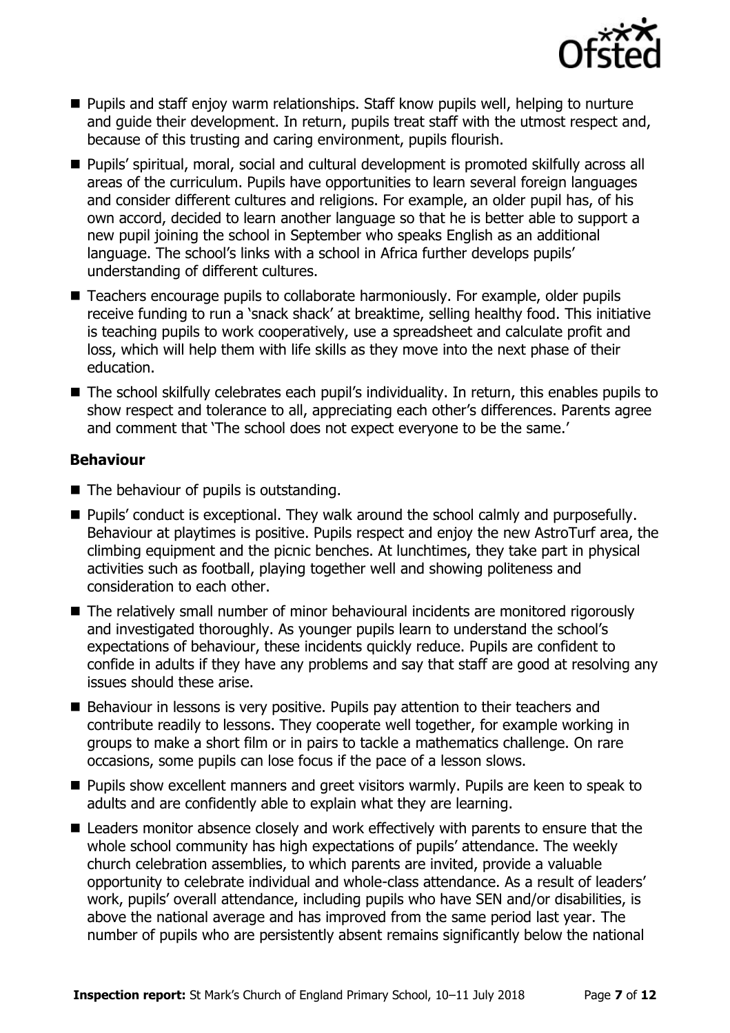

- **Pupils and staff enjoy warm relationships. Staff know pupils well, helping to nurture** and guide their development. In return, pupils treat staff with the utmost respect and, because of this trusting and caring environment, pupils flourish.
- Pupils' spiritual, moral, social and cultural development is promoted skilfully across all areas of the curriculum. Pupils have opportunities to learn several foreign languages and consider different cultures and religions. For example, an older pupil has, of his own accord, decided to learn another language so that he is better able to support a new pupil joining the school in September who speaks English as an additional language. The school's links with a school in Africa further develops pupils' understanding of different cultures.
- Teachers encourage pupils to collaborate harmoniously. For example, older pupils receive funding to run a 'snack shack' at breaktime, selling healthy food. This initiative is teaching pupils to work cooperatively, use a spreadsheet and calculate profit and loss, which will help them with life skills as they move into the next phase of their education.
- The school skilfully celebrates each pupil's individuality. In return, this enables pupils to show respect and tolerance to all, appreciating each other's differences. Parents agree and comment that 'The school does not expect everyone to be the same.'

### **Behaviour**

- The behaviour of pupils is outstanding.
- Pupils' conduct is exceptional. They walk around the school calmly and purposefully. Behaviour at playtimes is positive. Pupils respect and enjoy the new AstroTurf area, the climbing equipment and the picnic benches. At lunchtimes, they take part in physical activities such as football, playing together well and showing politeness and consideration to each other.
- The relatively small number of minor behavioural incidents are monitored rigorously and investigated thoroughly. As younger pupils learn to understand the school's expectations of behaviour, these incidents quickly reduce. Pupils are confident to confide in adults if they have any problems and say that staff are good at resolving any issues should these arise.
- Behaviour in lessons is very positive. Pupils pay attention to their teachers and contribute readily to lessons. They cooperate well together, for example working in groups to make a short film or in pairs to tackle a mathematics challenge. On rare occasions, some pupils can lose focus if the pace of a lesson slows.
- **Pupils show excellent manners and greet visitors warmly. Pupils are keen to speak to** adults and are confidently able to explain what they are learning.
- Leaders monitor absence closely and work effectively with parents to ensure that the whole school community has high expectations of pupils' attendance. The weekly church celebration assemblies, to which parents are invited, provide a valuable opportunity to celebrate individual and whole-class attendance. As a result of leaders' work, pupils' overall attendance, including pupils who have SEN and/or disabilities, is above the national average and has improved from the same period last year. The number of pupils who are persistently absent remains significantly below the national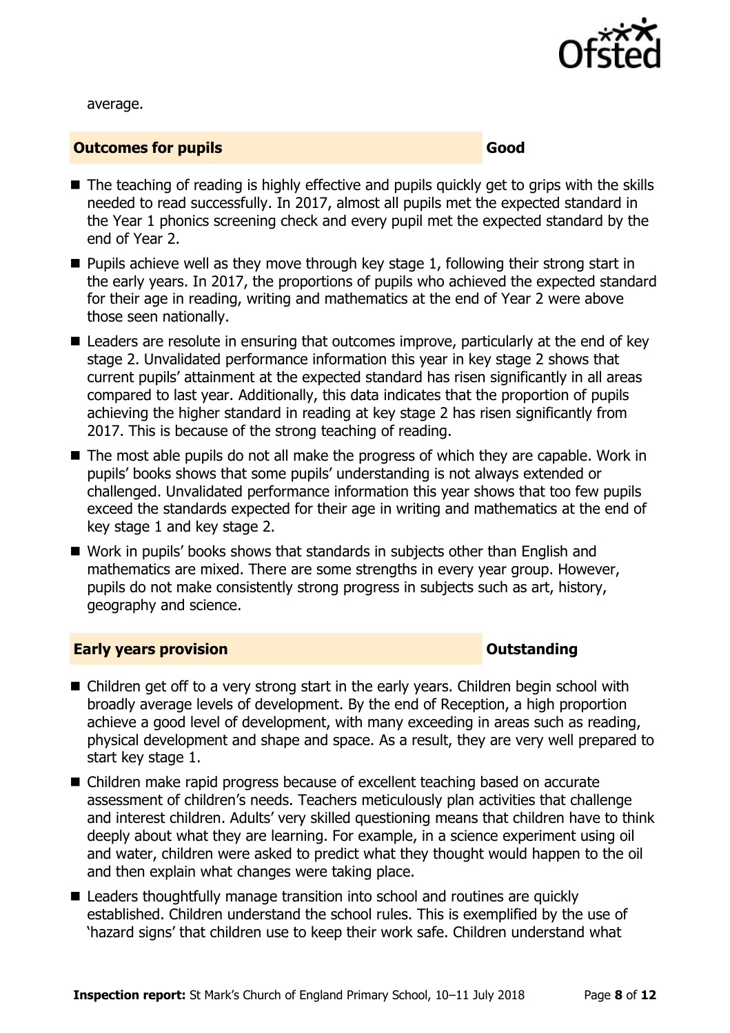

average.

#### **Outcomes for pupils Good Good**

- The teaching of reading is highly effective and pupils quickly get to grips with the skills needed to read successfully. In 2017, almost all pupils met the expected standard in the Year 1 phonics screening check and every pupil met the expected standard by the end of Year 2.
- $\blacksquare$  Pupils achieve well as they move through key stage 1, following their strong start in the early years. In 2017, the proportions of pupils who achieved the expected standard for their age in reading, writing and mathematics at the end of Year 2 were above those seen nationally.
- Leaders are resolute in ensuring that outcomes improve, particularly at the end of key stage 2. Unvalidated performance information this year in key stage 2 shows that current pupils' attainment at the expected standard has risen significantly in all areas compared to last year. Additionally, this data indicates that the proportion of pupils achieving the higher standard in reading at key stage 2 has risen significantly from 2017. This is because of the strong teaching of reading.
- The most able pupils do not all make the progress of which they are capable. Work in pupils' books shows that some pupils' understanding is not always extended or challenged. Unvalidated performance information this year shows that too few pupils exceed the standards expected for their age in writing and mathematics at the end of key stage 1 and key stage 2.
- Work in pupils' books shows that standards in subjects other than English and mathematics are mixed. There are some strengths in every year group. However, pupils do not make consistently strong progress in subjects such as art, history, geography and science.

#### **Early years provision CONSTANDING TO A RESEARCH CONSTANDING TO A RESEARCH CONSTANDING TO A RESEARCH CONSTANDING TO A RESEARCH CONSTANDING TO A RESEARCH CONSTANDING TO A RESEARCH CONSTANDING TO A RESEARCH CONSTANDING TO**

- Children get off to a very strong start in the early years. Children begin school with broadly average levels of development. By the end of Reception, a high proportion achieve a good level of development, with many exceeding in areas such as reading, physical development and shape and space. As a result, they are very well prepared to start key stage 1.
- Children make rapid progress because of excellent teaching based on accurate assessment of children's needs. Teachers meticulously plan activities that challenge and interest children. Adults' very skilled questioning means that children have to think deeply about what they are learning. For example, in a science experiment using oil and water, children were asked to predict what they thought would happen to the oil and then explain what changes were taking place.
- Leaders thoughtfully manage transition into school and routines are quickly established. Children understand the school rules. This is exemplified by the use of 'hazard signs' that children use to keep their work safe. Children understand what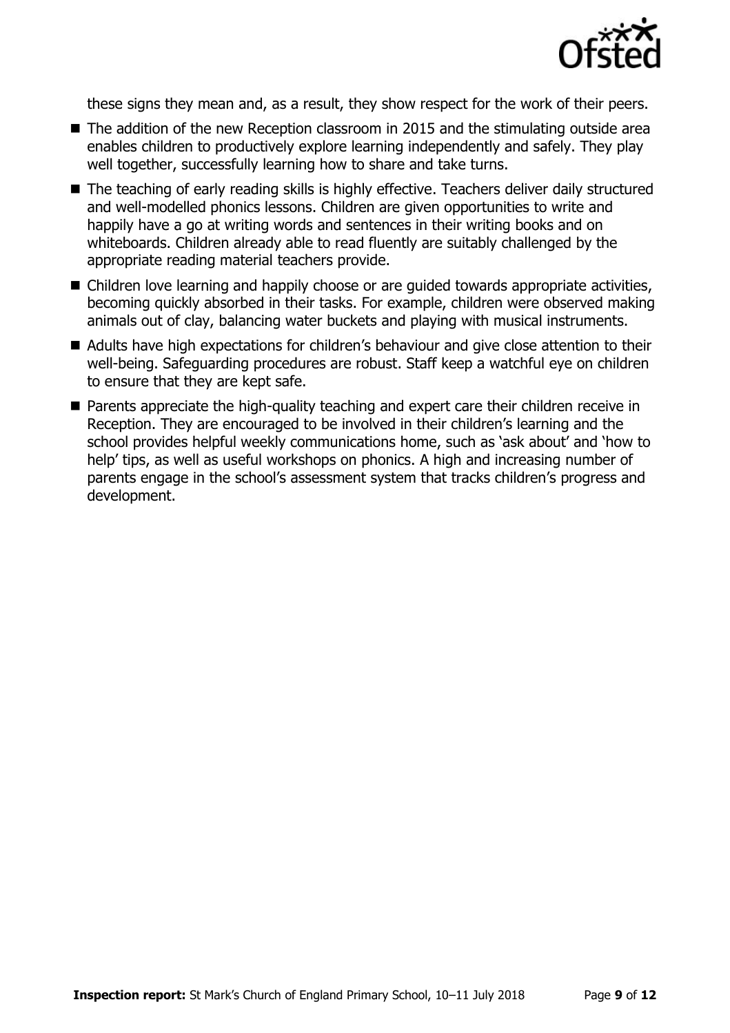

these signs they mean and, as a result, they show respect for the work of their peers.

- The addition of the new Reception classroom in 2015 and the stimulating outside area enables children to productively explore learning independently and safely. They play well together, successfully learning how to share and take turns.
- The teaching of early reading skills is highly effective. Teachers deliver daily structured and well-modelled phonics lessons. Children are given opportunities to write and happily have a go at writing words and sentences in their writing books and on whiteboards. Children already able to read fluently are suitably challenged by the appropriate reading material teachers provide.
- Children love learning and happily choose or are guided towards appropriate activities, becoming quickly absorbed in their tasks. For example, children were observed making animals out of clay, balancing water buckets and playing with musical instruments.
- Adults have high expectations for children's behaviour and give close attention to their well-being. Safeguarding procedures are robust. Staff keep a watchful eye on children to ensure that they are kept safe.
- **Parents appreciate the high-quality teaching and expert care their children receive in** Reception. They are encouraged to be involved in their children's learning and the school provides helpful weekly communications home, such as 'ask about' and 'how to help' tips, as well as useful workshops on phonics. A high and increasing number of parents engage in the school's assessment system that tracks children's progress and development.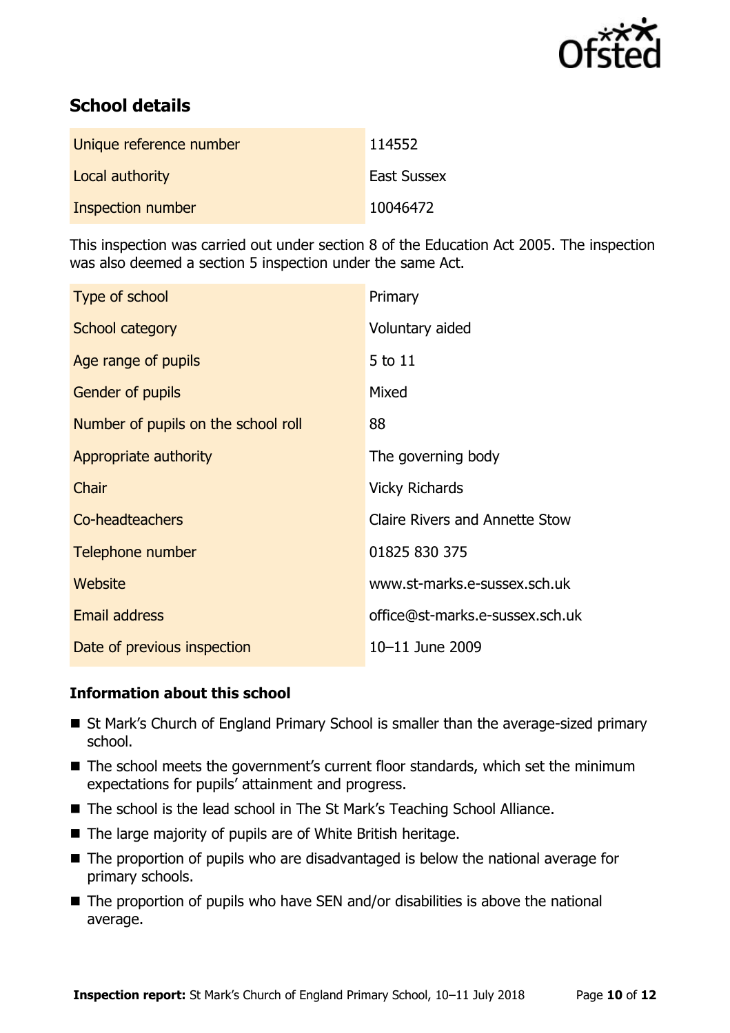

# **School details**

| Unique reference number | 114552             |
|-------------------------|--------------------|
| Local authority         | <b>East Sussex</b> |
| Inspection number       | 10046472           |

This inspection was carried out under section 8 of the Education Act 2005. The inspection was also deemed a section 5 inspection under the same Act.

| Type of school                      | Primary                               |
|-------------------------------------|---------------------------------------|
| School category                     | Voluntary aided                       |
| Age range of pupils                 | 5 to 11                               |
| <b>Gender of pupils</b>             | Mixed                                 |
| Number of pupils on the school roll | 88                                    |
| Appropriate authority               | The governing body                    |
| Chair                               | <b>Vicky Richards</b>                 |
| Co-headteachers                     | <b>Claire Rivers and Annette Stow</b> |
| Telephone number                    | 01825 830 375                         |
| Website                             | www.st-marks.e-sussex.sch.uk          |
| Email address                       | office@st-marks.e-sussex.sch.uk       |
| Date of previous inspection         | 10-11 June 2009                       |

### **Information about this school**

- St Mark's Church of England Primary School is smaller than the average-sized primary school.
- The school meets the government's current floor standards, which set the minimum expectations for pupils' attainment and progress.
- The school is the lead school in The St Mark's Teaching School Alliance.
- The large majority of pupils are of White British heritage.
- The proportion of pupils who are disadvantaged is below the national average for primary schools.
- $\blacksquare$  The proportion of pupils who have SEN and/or disabilities is above the national average.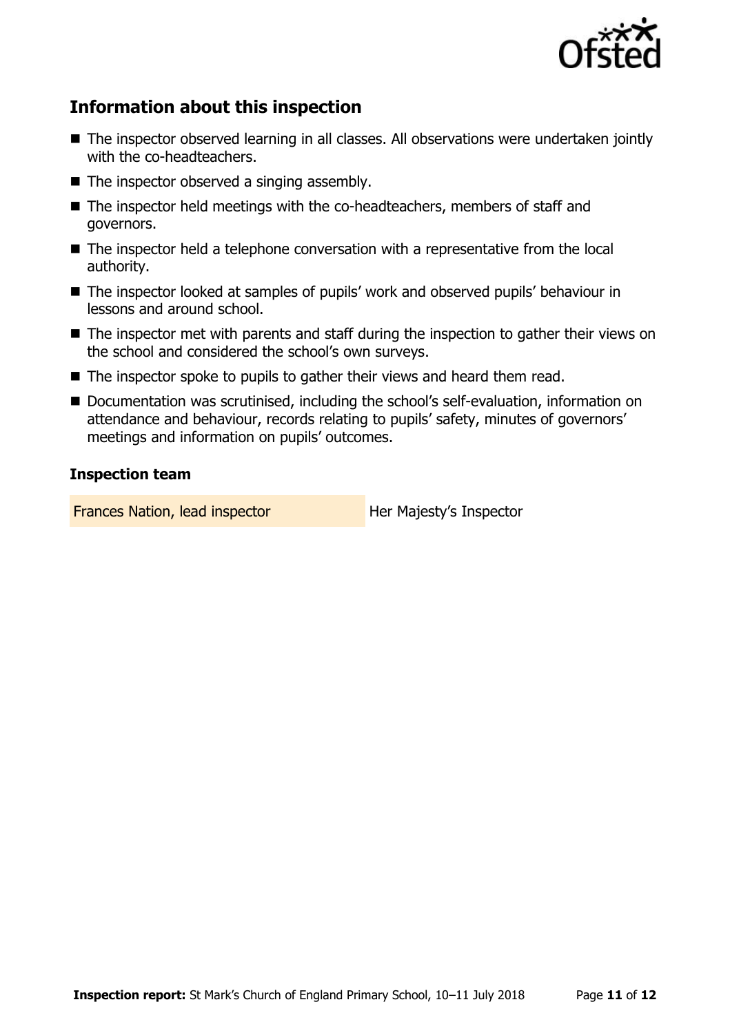

# **Information about this inspection**

- The inspector observed learning in all classes. All observations were undertaken jointly with the co-headteachers.
- $\blacksquare$  The inspector observed a singing assembly.
- The inspector held meetings with the co-headteachers, members of staff and governors.
- The inspector held a telephone conversation with a representative from the local authority.
- The inspector looked at samples of pupils' work and observed pupils' behaviour in lessons and around school.
- The inspector met with parents and staff during the inspection to gather their views on the school and considered the school's own surveys.
- The inspector spoke to pupils to gather their views and heard them read.
- Documentation was scrutinised, including the school's self-evaluation, information on attendance and behaviour, records relating to pupils' safety, minutes of governors' meetings and information on pupils' outcomes.

#### **Inspection team**

Frances Nation, lead inspector **Her Majesty's Inspector**